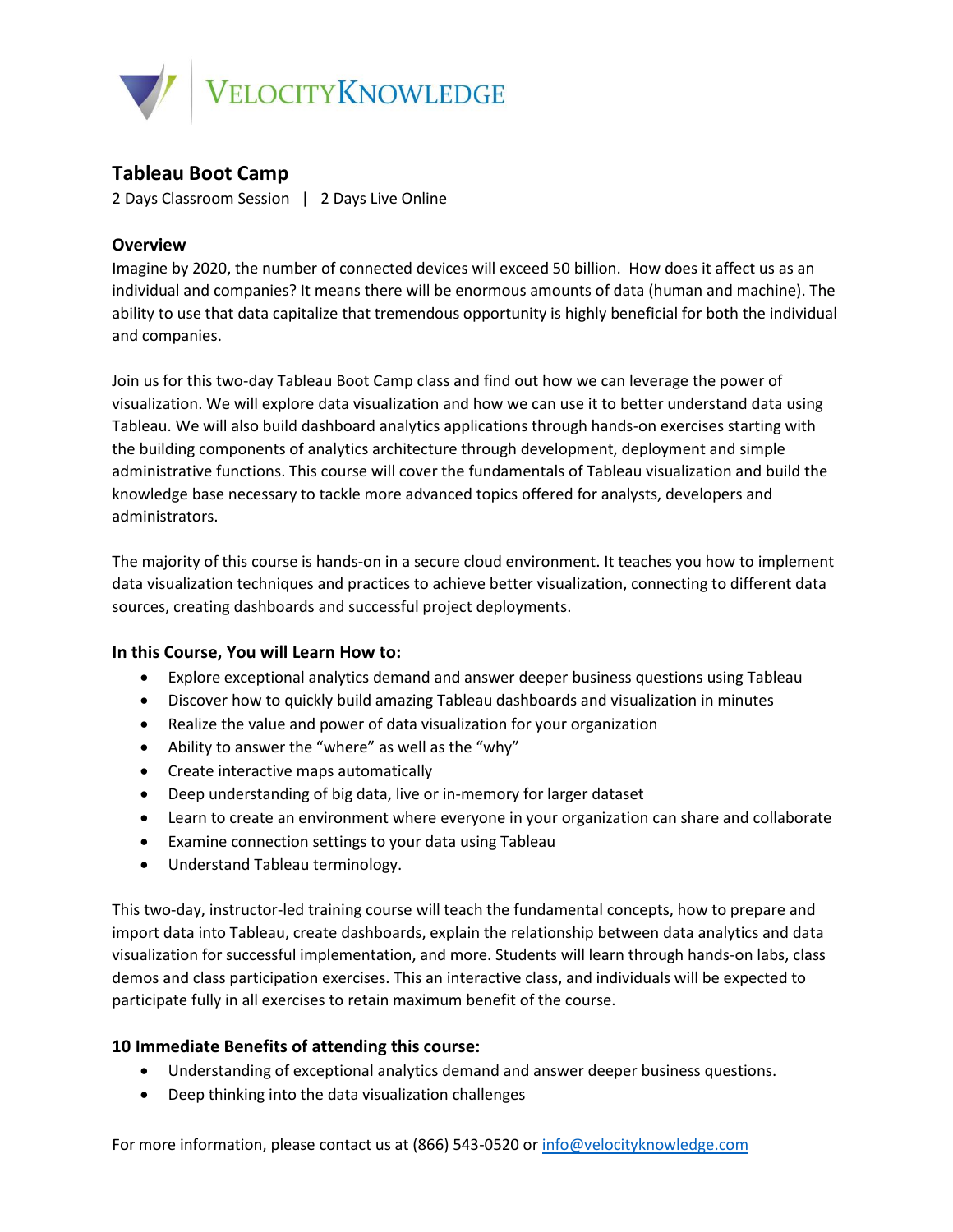

# **Tableau Boot Camp**

2 Days Classroom Session | 2 Days Live Online

## **Overview**

Imagine by 2020, the number of connected devices will exceed 50 billion. How does it affect us as an individual and companies? It means there will be enormous amounts of data (human and machine). The ability to use that data capitalize that tremendous opportunity is highly beneficial for both the individual and companies.

Join us for this two-day Tableau Boot Camp class and find out how we can leverage the power of visualization. We will explore data visualization and how we can use it to better understand data using Tableau. We will also build dashboard analytics applications through hands-on exercises starting with the building components of analytics architecture through development, deployment and simple administrative functions. This course will cover the fundamentals of Tableau visualization and build the knowledge base necessary to tackle more advanced topics offered for analysts, developers and administrators.

The majority of this course is hands-on in a secure cloud environment. It teaches you how to implement data visualization techniques and practices to achieve better visualization, connecting to different data sources, creating dashboards and successful project deployments.

#### **In this Course, You will Learn How to:**

- Explore exceptional analytics demand and answer deeper business questions using Tableau
- Discover how to quickly build amazing Tableau dashboards and visualization in minutes
- Realize the value and power of data visualization for your organization
- Ability to answer the "where" as well as the "why"
- Create interactive maps automatically
- Deep understanding of big data, live or in-memory for larger dataset
- Learn to create an environment where everyone in your organization can share and collaborate
- Examine connection settings to your data using Tableau
- Understand Tableau terminology.

This two-day, instructor-led training course will teach the fundamental concepts, how to prepare and import data into Tableau, create dashboards, explain the relationship between data analytics and data visualization for successful implementation, and more. Students will learn through hands-on labs, class demos and class participation exercises. This an interactive class, and individuals will be expected to participate fully in all exercises to retain maximum benefit of the course.

## **10 Immediate Benefits of attending this course:**

- Understanding of exceptional analytics demand and answer deeper business questions.
- Deep thinking into the data visualization challenges

For more information, please contact us at (866) 543-0520 or [info@velocityknowledge.com](mailto:info@velocityknowledge.com)